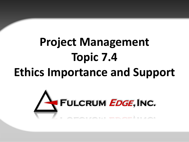# **Project Management Topic 7.4 Ethics Importance and Support**

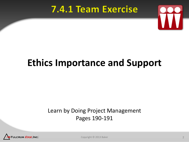#### 7.4.1 Team Exercise



# **Ethics Importance and Support**

#### Learn by Doing Project Management Pages 190-191



Copyright © 2013 Baker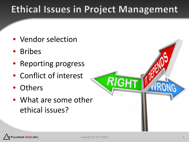### **Ethical Issues in Project Management**

- Vendor selection
- Bribes
- Reporting progress
- Conflict of interest
- Others
- What are some other ethical issues?



RIGHT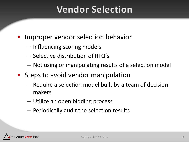### **Vendor Selection**

- Improper vendor selection behavior
	- Influencing scoring models
	- Selective distribution of RFQ's
	- Not using or manipulating results of a selection model
- Steps to avoid vendor manipulation
	- Require a selection model built by a team of decision makers
	- Utilize an open bidding process
	- Periodically audit the selection results

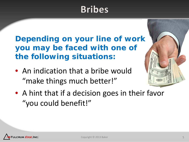### **Bribes**

**Depending on your line of work you may be faced with one of the following situations:**

- An indication that a bribe would "make things much better!"
- A hint that if a decision goes in their favor "you could benefit!"

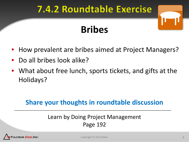#### **7.4.2 Roundtable Exercise**

# **Bribes**

- How prevalent are bribes aimed at Project Managers?
- Do all bribes look alike?
- What about free lunch, sports tickets, and gifts at the Holidays?

#### **Share your thoughts in roundtable discussion**

#### Learn by Doing Project Management Page 192

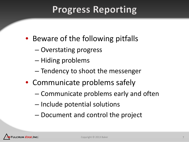### **Progress Reporting**

- Beware of the following pitfalls
	- Overstating progress
	- Hiding problems
	- Tendency to shoot the messenger
- Communicate problems safely
	- Communicate problems early and often
	- Include potential solutions
	- Document and control the project

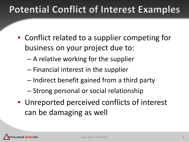## **Potential Conflict of Interest Examples**

- Conflict related to a supplier competing for business on your project due to:
	- A relative working for the supplier
	- Financial interest in the supplier
	- Indirect benefit gained from a third party
	- Strong personal or social relationship
- Unreported perceived conflicts of interest can be damaging as well